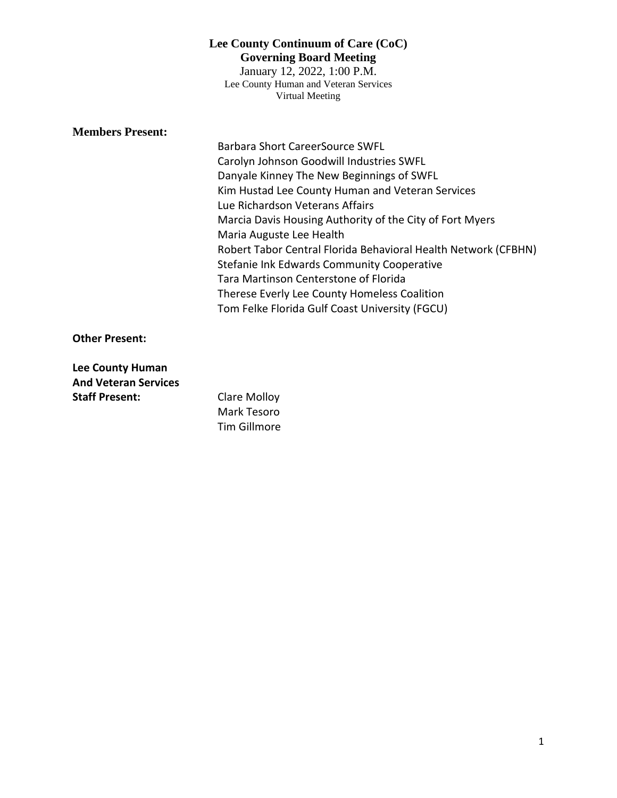January 12, 2022, 1:00 P.M. Lee County Human and Veteran Services Virtual Meeting

# **Members Present:**

Barbara Short CareerSource SWFL Carolyn Johnson Goodwill Industries SWFL Danyale Kinney The New Beginnings of SWFL Kim Hustad Lee County Human and Veteran Services Lue Richardson Veterans Affairs Marcia Davis Housing Authority of the City of Fort Myers Maria Auguste Lee Health Robert Tabor Central Florida Behavioral Health Network (CFBHN) Stefanie Ink Edwards Community Cooperative Tara Martinson Centerstone of Florida Therese Everly Lee County Homeless Coalition Tom Felke Florida Gulf Coast University (FGCU)

**Other Present:**

**Lee County Human And Veteran Services Staff Present:** Clare Molloy

Mark Tesoro Tim Gillmore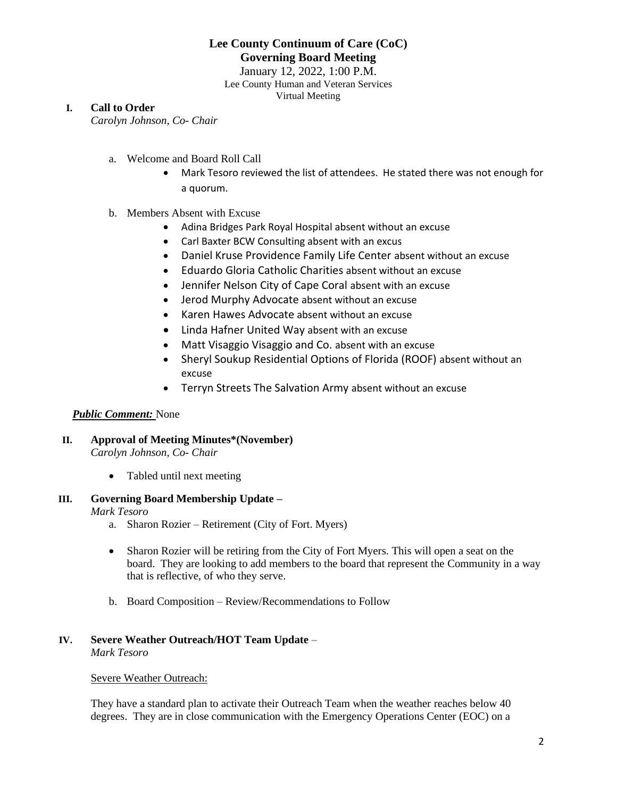January 12, 2022, 1:00 P.M. Lee County Human and Veteran Services Virtual Meeting

## **I. Call to Order**

*Carolyn Johnson, Co- Chair*

- a. Welcome and Board Roll Call
	- Mark Tesoro reviewed the list of attendees. He stated there was not enough for a quorum.
- b. Members Absent with Excuse
	- Adina Bridges Park Royal Hospital absent without an excuse
	- Carl Baxter BCW Consulting absent with an excus
	- Daniel Kruse Providence Family Life Center absent without an excuse
	- Eduardo Gloria Catholic Charities absent without an excuse
	- Jennifer Nelson City of Cape Coral absent with an excuse
	- Jerod Murphy Advocate absent without an excuse
	- Karen Hawes Advocate absent without an excuse
	- Linda Hafner United Way absent with an excuse
	- Matt Visaggio Visaggio and Co. absent with an excuse
	- Sheryl Soukup Residential Options of Florida (ROOF) absent without an excuse
	- Terryn Streets The Salvation Army absent without an excuse

### *Public Comment:* None

#### **II. Approval of Meeting Minutes\*(November)** *Carolyn Johnson, Co- Chair*

• Tabled until next meeting

# **III. Governing Board Membership Update –**

### *Mark Tesoro*

- a. Sharon Rozier Retirement (City of Fort. Myers)
- Sharon Rozier will be retiring from the City of Fort Myers. This will open a seat on the board. They are looking to add members to the board that represent the Community in a way that is reflective, of who they serve.
- b. Board Composition Review/Recommendations to Follow

#### **IV. Severe Weather Outreach/HOT Team Update** – *Mark Tesoro*

# Severe Weather Outreach:

They have a standard plan to activate their Outreach Team when the weather reaches below 40 degrees. They are in close communication with the Emergency Operations Center (EOC) on a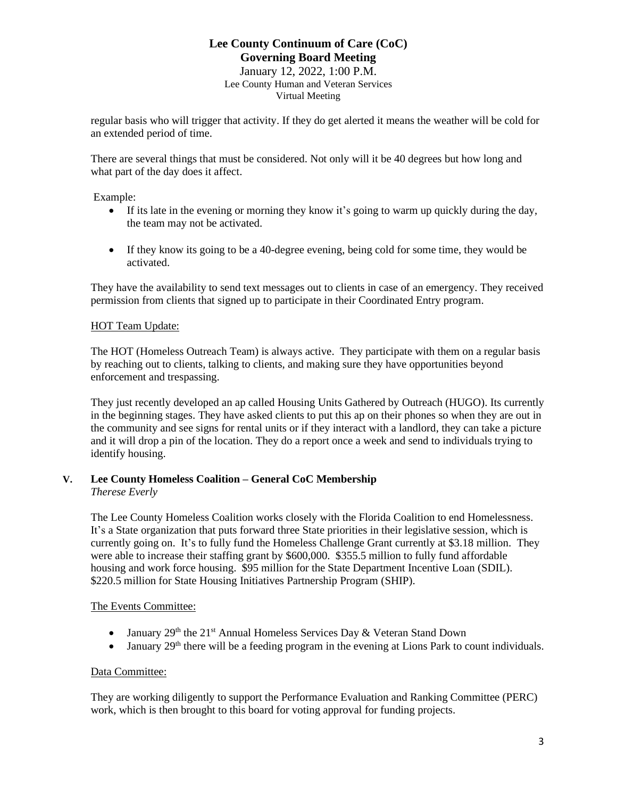January 12, 2022, 1:00 P.M. Lee County Human and Veteran Services Virtual Meeting

regular basis who will trigger that activity. If they do get alerted it means the weather will be cold for an extended period of time.

There are several things that must be considered. Not only will it be 40 degrees but how long and what part of the day does it affect.

Example:

- If its late in the evening or morning they know it's going to warm up quickly during the day, the team may not be activated.
- If they know its going to be a 40-degree evening, being cold for some time, they would be activated.

They have the availability to send text messages out to clients in case of an emergency. They received permission from clients that signed up to participate in their Coordinated Entry program.

### HOT Team Update:

The HOT (Homeless Outreach Team) is always active. They participate with them on a regular basis by reaching out to clients, talking to clients, and making sure they have opportunities beyond enforcement and trespassing.

They just recently developed an ap called Housing Units Gathered by Outreach (HUGO). Its currently in the beginning stages. They have asked clients to put this ap on their phones so when they are out in the community and see signs for rental units or if they interact with a landlord, they can take a picture and it will drop a pin of the location. They do a report once a week and send to individuals trying to identify housing.

### **V. Lee County Homeless Coalition – General CoC Membership** *Therese Everly*

The Lee County Homeless Coalition works closely with the Florida Coalition to end Homelessness. It's a State organization that puts forward three State priorities in their legislative session, which is currently going on. It's to fully fund the Homeless Challenge Grant currently at \$3.18 million. They were able to increase their staffing grant by \$600,000. \$355.5 million to fully fund affordable housing and work force housing. \$95 million for the State Department Incentive Loan (SDIL). \$220.5 million for State Housing Initiatives Partnership Program (SHIP).

## The Events Committee:

- January  $29<sup>th</sup>$  the  $21<sup>st</sup>$  Annual Homeless Services Day & Veteran Stand Down
- January  $29<sup>th</sup>$  there will be a feeding program in the evening at Lions Park to count individuals.

## Data Committee:

They are working diligently to support the Performance Evaluation and Ranking Committee (PERC) work, which is then brought to this board for voting approval for funding projects.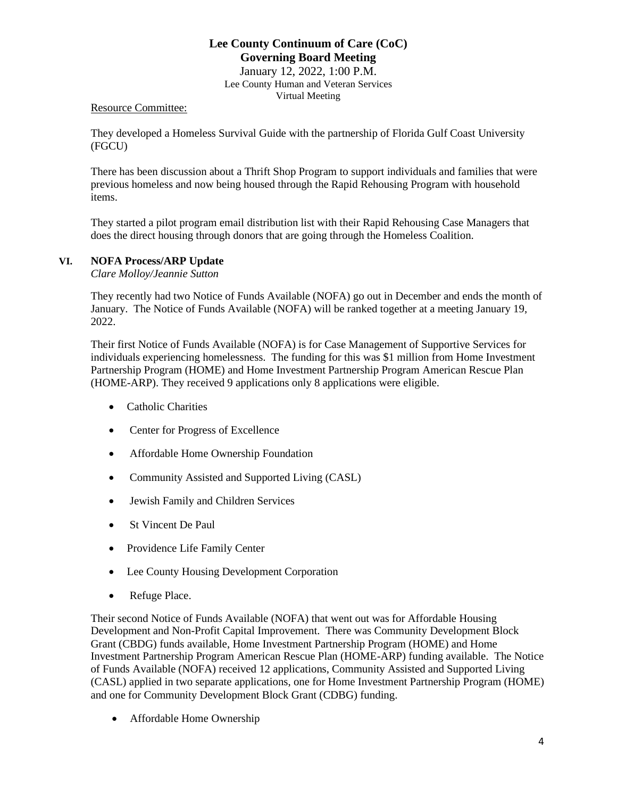January 12, 2022, 1:00 P.M. Lee County Human and Veteran Services Virtual Meeting

# Resource Committee:

They developed a Homeless Survival Guide with the partnership of Florida Gulf Coast University (FGCU)

There has been discussion about a Thrift Shop Program to support individuals and families that were previous homeless and now being housed through the Rapid Rehousing Program with household items.

They started a pilot program email distribution list with their Rapid Rehousing Case Managers that does the direct housing through donors that are going through the Homeless Coalition.

## **VI. NOFA Process/ARP Update**

*Clare Molloy/Jeannie Sutton*

They recently had two Notice of Funds Available (NOFA) go out in December and ends the month of January. The Notice of Funds Available (NOFA) will be ranked together at a meeting January 19, 2022.

Their first Notice of Funds Available (NOFA) is for Case Management of Supportive Services for individuals experiencing homelessness. The funding for this was \$1 million from Home Investment Partnership Program (HOME) and Home Investment Partnership Program American Rescue Plan (HOME-ARP). They received 9 applications only 8 applications were eligible.

- Catholic Charities
- Center for Progress of Excellence
- Affordable Home Ownership Foundation
- Community Assisted and Supported Living (CASL)
- Jewish Family and Children Services
- St Vincent De Paul
- Providence Life Family Center
- Lee County Housing Development Corporation
- Refuge Place.

Their second Notice of Funds Available (NOFA) that went out was for Affordable Housing Development and Non-Profit Capital Improvement. There was Community Development Block Grant (CBDG) funds available, Home Investment Partnership Program (HOME) and Home Investment Partnership Program American Rescue Plan (HOME-ARP) funding available. The Notice of Funds Available (NOFA) received 12 applications, Community Assisted and Supported Living (CASL) applied in two separate applications, one for Home Investment Partnership Program (HOME) and one for Community Development Block Grant (CDBG) funding.

• Affordable Home Ownership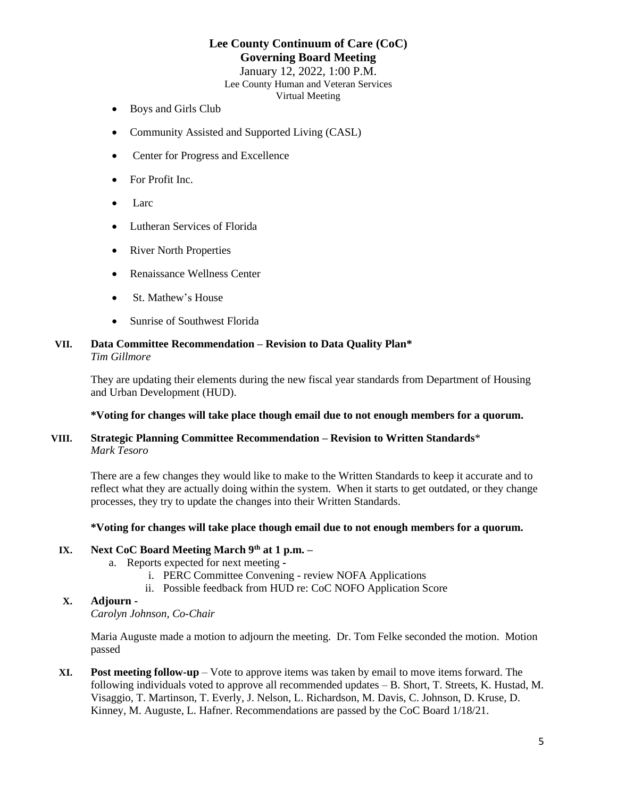January 12, 2022, 1:00 P.M. Lee County Human and Veteran Services Virtual Meeting

- Boys and Girls Club
- Community Assisted and Supported Living (CASL)
- Center for Progress and Excellence
- For Profit Inc.
- Larc
- Lutheran Services of Florida
- River North Properties
- Renaissance Wellness Center
- St. Mathew's House
- Sunrise of Southwest Florida

#### **VII. Data Committee Recommendation – Revision to Data Quality Plan\*** *Tim Gillmore*

They are updating their elements during the new fiscal year standards from Department of Housing and Urban Development (HUD).

#### **\*Voting for changes will take place though email due to not enough members for a quorum.**

### **VIII. Strategic Planning Committee Recommendation – Revision to Written Standards**\* *Mark Tesoro*

There are a few changes they would like to make to the Written Standards to keep it accurate and to reflect what they are actually doing within the system. When it starts to get outdated, or they change processes, they try to update the changes into their Written Standards.

#### **\*Voting for changes will take place though email due to not enough members for a quorum.**

# **IX. Next CoC Board Meeting March 9th at 1 p.m. –**

- a. Reports expected for next meeting 
	- i. PERC Committee Convening review NOFA Applications
	- ii. Possible feedback from HUD re: CoC NOFO Application Score

### **X. Adjourn -**

*Carolyn Johnson, Co-Chair*

Maria Auguste made a motion to adjourn the meeting. Dr. Tom Felke seconded the motion. Motion passed

**XI. Post meeting follow-up** – Vote to approve items was taken by email to move items forward. The following individuals voted to approve all recommended updates – B. Short, T. Streets, K. Hustad, M. Visaggio, T. Martinson, T. Everly, J. Nelson, L. Richardson, M. Davis, C. Johnson, D. Kruse, D. Kinney, M. Auguste, L. Hafner. Recommendations are passed by the CoC Board 1/18/21.